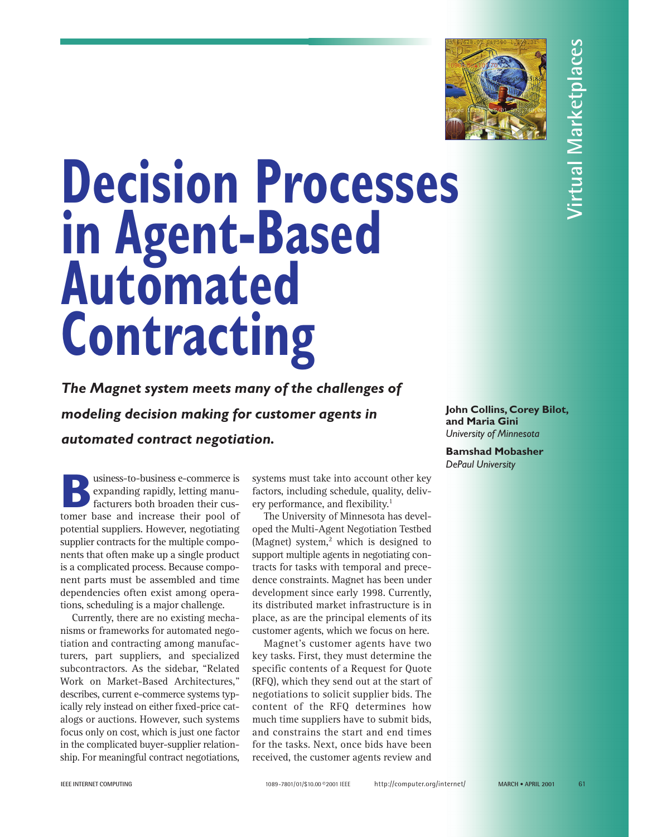

# **Decision Processes in Agent-Based Automated Contracting**

*The Magnet system meets many of the challenges of modeling decision making for customer agents in automated contract negotiation.*

**Business-to-business e-commerce is<br>expanding rapidly, letting manu-<br>facturers both broaden their cus-<br>tomer base and increase their pool of** expanding rapidly, letting manufacturers both broaden their cuspotential suppliers. However, negotiating supplier contracts for the multiple components that often make up a single product is a complicated process. Because component parts must be assembled and time dependencies often exist among operations, scheduling is a major challenge.

Currently, there are no existing mechanisms or frameworks for automated negotiation and contracting among manufacturers, part suppliers, and specialized subcontractors. As the sidebar, "Related Work on Market-Based Architectures," describes, current e-commerce systems typically rely instead on either fixed-price catalogs or auctions. However, such systems focus only on cost, which is just one factor in the complicated buyer-supplier relationship. For meaningful contract negotiations,

systems must take into account other key factors, including schedule, quality, delivery performance, and flexibility.<sup>1</sup>

The University of Minnesota has developed the Multi-Agent Negotiation Testbed (Magnet) system, $2$  which is designed to support multiple agents in negotiating contracts for tasks with temporal and precedence constraints. Magnet has been under development since early 1998. Currently, its distributed market infrastructure is in place, as are the principal elements of its customer agents, which we focus on here.

Magnet's customer agents have two key tasks. First, they must determine the specific contents of a Request for Quote (RFQ), which they send out at the start of negotiations to solicit supplier bids. The content of the RFQ determines how much time suppliers have to submit bids, and constrains the start and end times for the tasks. Next, once bids have been received, the customer agents review and **John Collins, Corey Bilot, and Maria Gini** *University of Minnesota*

**Bamshad Mobasher** *DePaul University*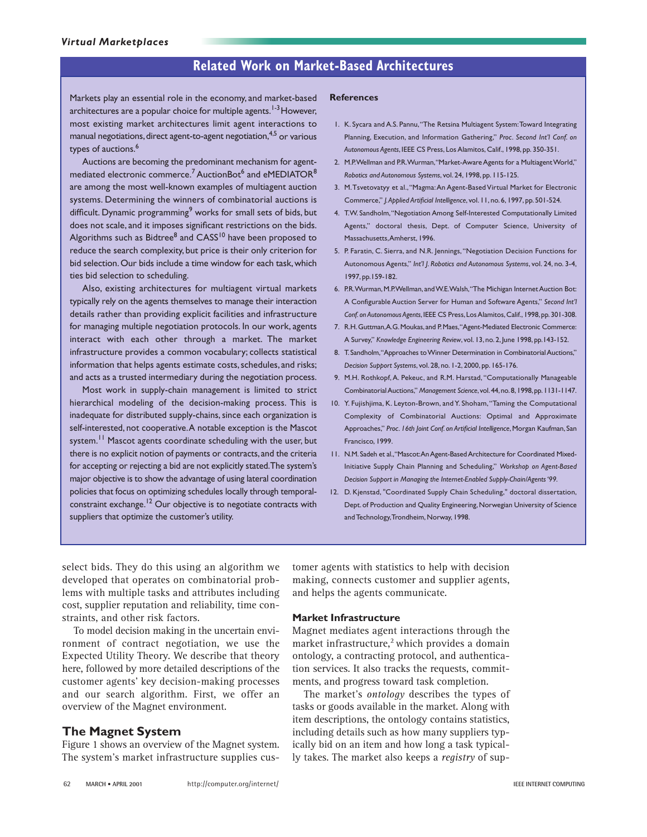# **Related Work on Market-Based Architectures**

Markets play an essential role in the economy, and market-based architectures are a popular choice for multiple agents.<sup>1-3</sup> However, most existing market architectures limit agent interactions to manual negotiations, direct agent-to-agent negotiation,<sup>4,5</sup> or various types of auctions.<sup>6</sup>

Auctions are becoming the predominant mechanism for agentmediated electronic commerce.<sup>7</sup> AuctionBot<sup>6</sup> and eMEDIATOR<sup>8</sup> are among the most well-known examples of multiagent auction systems. Determining the winners of combinatorial auctions is difficult. Dynamic programming<sup>9</sup> works for small sets of bids, but does not scale, and it imposes significant restrictions on the bids. Algorithms such as Bidtree<sup>8</sup> and CASS<sup>10</sup> have been proposed to reduce the search complexity, but price is their only criterion for bid selection. Our bids include a time window for each task, which ties bid selection to scheduling.

Also, existing architectures for multiagent virtual markets typically rely on the agents themselves to manage their interaction details rather than providing explicit facilities and infrastructure for managing multiple negotiation protocols. In our work, agents interact with each other through a market. The market infrastructure provides a common vocabulary; collects statistical information that helps agents estimate costs, schedules, and risks; and acts as a trusted intermediary during the negotiation process.

Most work in supply-chain management is limited to strict hierarchical modeling of the decision-making process. This is inadequate for distributed supply-chains, since each organization is self-interested, not cooperative.A notable exception is the Mascot system.<sup>11</sup> Mascot agents coordinate scheduling with the user, but there is no explicit notion of payments or contracts,and the criteria for accepting or rejecting a bid are not explicitly stated.The system's major objective is to show the advantage of using lateral coordination policies that focus on optimizing schedules locally through temporalconstraint exchange.<sup>12</sup> Our objective is to negotiate contracts with suppliers that optimize the customer's utility.

### **References**

- 1. K. Sycara and A.S. Pannu,"The Retsina Multiagent System:Toward Integrating Planning, Execution, and Information Gathering," *Proc. Second Int'l Conf. on Autonomous Agents*, IEEE CS Press, Los Alamitos, Calif., 1998, pp. 350-351.
- 2. M.P.Wellman and P.R.Wurman,"Market-Aware Agents for a Multiagent World," *Robotics and Autonomous Systems*, vol. 24, 1998, pp. 115-125.
- 3. M.Tsvetovatyy et al.,"Magma:An Agent-Based Virtual Market for Electronic Commerce," *J.Applied Artificial Intelligence*, vol. 11, no. 6, 1997, pp. 501-524.
- 4. T.W. Sandholm,"Negotiation Among Self-Interested Computationally Limited Agents," doctoral thesis, Dept. of Computer Science, University of Massachusetts,Amherst, 1996.
- 5. P. Faratin, C. Sierra, and N.R. Jennings,"Negotiation Decision Functions for Autonomous Agents," *Int'l J. Robotics and Autonomous Systems*, vol. 24, no. 3-4, 1997, pp.159-182.
- 6. P.R. Wurman, M.P. Wellman, and W.E. Walsh, "The Michigan Internet Auction Bot: A Configurable Auction Server for Human and Software Agents," *Second Int'l* Conf. on Autonomous Agents, IEEE CS Press, Los Alamitos, Calif., 1998, pp. 301-308.
- 7. R.H.Guttman,A.G.Moukas,and P.Maes,"Agent-Mediated Electronic Commerce: A Survey," *Knowledge Engineering Review*, vol. 13, no. 2, June 1998, pp.143-152.
- 8. T.Sandholm,"Approaches to Winner Determination in Combinatorial Auctions," *Decision Support Systems*, vol. 28, no. 1-2, 2000, pp. 165-176.
- 9. M.H. Rothkopf, A. Pekeuc, and R.M. Harstad, "Computationally Manageable Combinatorial Auctions," *Management Science*,vol.44,no.8,1998,pp.1131-1147.
- 10. Y. Fujishjima, K. Leyton-Brown, and Y. Shoham,"Taming the Computational Complexity of Combinatorial Auctions: Optimal and Approximate Approaches," *Proc.16th Joint Conf.on Artificial Intelligence*,Morgan Kaufman,San Francisco, 1999.
- 11. N.M.Sadeh et al.,"Mascot:An Agent-Based Architecture for Coordinated Mixed-Initiative Supply Chain Planning and Scheduling," *Workshop on Agent-Based Decision Support in Managing the Internet-Enabled Supply-Chain/Agents '99.*
- 12. D. Kjenstad, "Coordinated Supply Chain Scheduling," doctoral dissertation, Dept. of Production and Quality Engineering, Norwegian University of Science and Technology,Trondheim, Norway, 1998.

select bids. They do this using an algorithm we developed that operates on combinatorial problems with multiple tasks and attributes including cost, supplier reputation and reliability, time constraints, and other risk factors.

To model decision making in the uncertain environment of contract negotiation, we use the Expected Utility Theory. We describe that theory here, followed by more detailed descriptions of the customer agents' key decision-making processes and our search algorithm. First, we offer an overview of the Magnet environment.

# **The Magnet System**

Figure 1 shows an overview of the Magnet system. The system's market infrastructure supplies customer agents with statistics to help with decision making, connects customer and supplier agents, and helps the agents communicate.

### **Market Infrastructure**

Magnet mediates agent interactions through the market infrastructure,<sup>2</sup> which provides a domain ontology, a contracting protocol, and authentication services. It also tracks the requests, commitments, and progress toward task completion.

The market's *ontology* describes the types of tasks or goods available in the market. Along with item descriptions, the ontology contains statistics, including details such as how many suppliers typically bid on an item and how long a task typically takes. The market also keeps a *registry* of sup-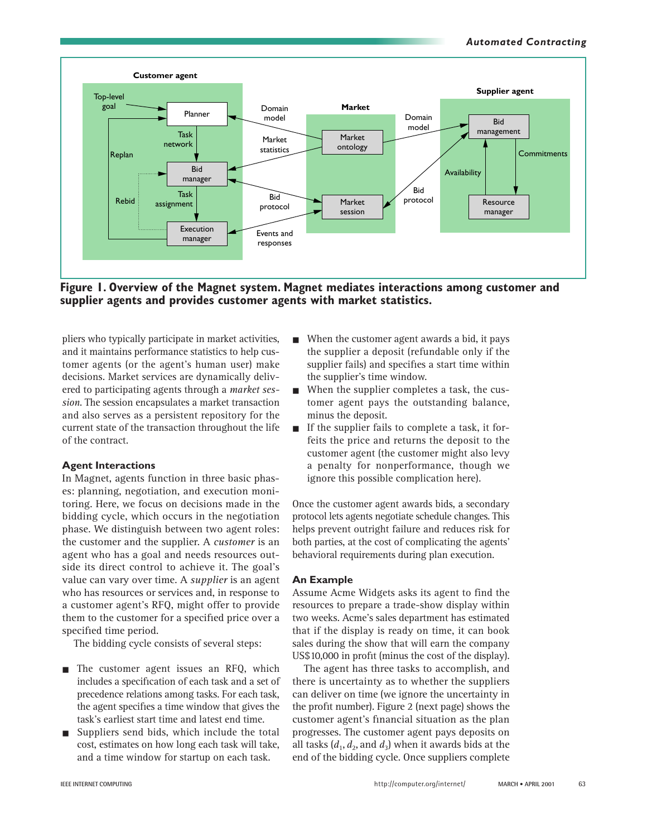

**Figure 1. Overview of the Magnet system. Magnet mediates interactions among customer and supplier agents and provides customer agents with market statistics.**

pliers who typically participate in market activities, and it maintains performance statistics to help customer agents (or the agent's human user) make decisions. Market services are dynamically delivered to participating agents through a *market session*. The session encapsulates a market transaction and also serves as a persistent repository for the current state of the transaction throughout the life of the contract.

### **Agent Interactions**

In Magnet, agents function in three basic phases: planning, negotiation, and execution monitoring. Here, we focus on decisions made in the bidding cycle, which occurs in the negotiation phase. We distinguish between two agent roles: the customer and the supplier. A *customer* is an agent who has a goal and needs resources outside its direct control to achieve it. The goal's value can vary over time. A *supplier* is an agent who has resources or services and, in response to a customer agent's RFQ, might offer to provide them to the customer for a specified price over a specified time period.

The bidding cycle consists of several steps:

- The customer agent issues an RFQ, which includes a specification of each task and a set of precedence relations among tasks. For each task, the agent specifies a time window that gives the task's earliest start time and latest end time.
- Suppliers send bids, which include the total cost, estimates on how long each task will take, and a time window for startup on each task.
- When the customer agent awards a bid, it pays the supplier a deposit (refundable only if the supplier fails) and specifies a start time within the supplier's time window.
- When the supplier completes a task, the customer agent pays the outstanding balance, minus the deposit.
- If the supplier fails to complete a task, it forfeits the price and returns the deposit to the customer agent (the customer might also levy a penalty for nonperformance, though we ignore this possible complication here).

Once the customer agent awards bids, a secondary protocol lets agents negotiate schedule changes. This helps prevent outright failure and reduces risk for both parties, at the cost of complicating the agents' behavioral requirements during plan execution.

### **An Example**

Assume Acme Widgets asks its agent to find the resources to prepare a trade-show display within two weeks. Acme's sales department has estimated that if the display is ready on time, it can book sales during the show that will earn the company US\$10,000 in profit (minus the cost of the display).

The agent has three tasks to accomplish, and there is uncertainty as to whether the suppliers can deliver on time (we ignore the uncertainty in the profit number). Figure 2 (next page) shows the customer agent's financial situation as the plan progresses. The customer agent pays deposits on all tasks  $(d_1, d_2,$  and  $d_3$ ) when it awards bids at the end of the bidding cycle. Once suppliers complete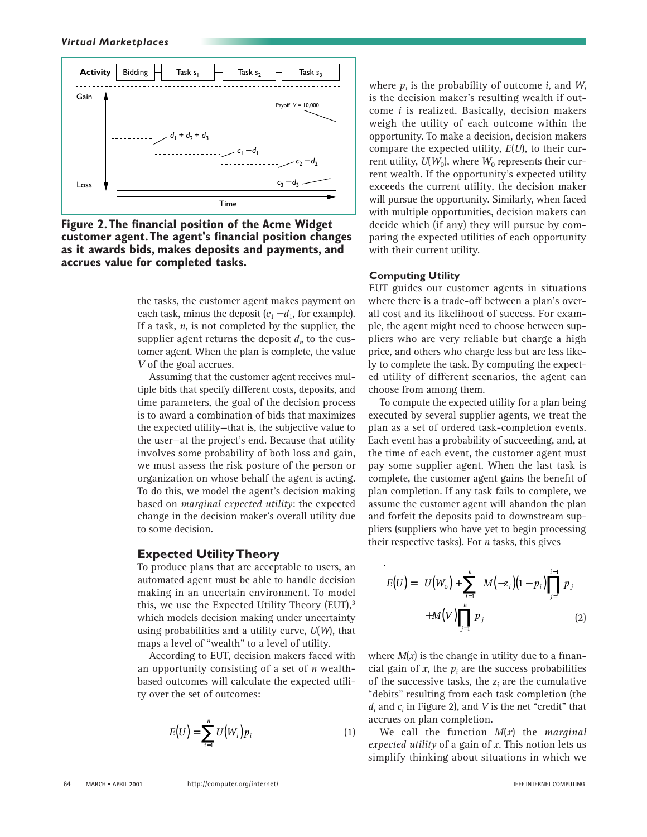

**Figure 2.The financial position of the Acme Widget customer agent.The agent's financial position changes as it awards bids, makes deposits and payments, and accrues value for completed tasks.**

the tasks, the customer agent makes payment on each task, minus the deposit  $(c_1 - d_1)$ , for example). If a task, *n*, is not completed by the supplier, the supplier agent returns the deposit  $d_n$  to the customer agent. When the plan is complete, the value *V* of the goal accrues.

Assuming that the customer agent receives multiple bids that specify different costs, deposits, and time parameters, the goal of the decision process is to award a combination of bids that maximizes the expected utility—that is, the subjective value to the user—at the project's end. Because that utility involves some probability of both loss and gain, we must assess the risk posture of the person or organization on whose behalf the agent is acting. To do this, we model the agent's decision making based on *marginal expected utility*: the expected change in the decision maker's overall utility due to some decision.

# **Expected Utility Theory**

To produce plans that are acceptable to users, an automated agent must be able to handle decision making in an uncertain environment. To model this, we use the Expected Utility Theory (EUT), $3$ which models decision making under uncertainty using probabilities and a utility curve, *U*(*W*), that maps a level of "wealth" to a level of utility.

According to EUT, decision makers faced with an opportunity consisting of a set of *n* wealthbased outcomes will calculate the expected utility over the set of outcomes:

(1)

$$
E(U) = \sum_{i=1}^n U(W_i) p_i
$$

where  $p_i$  is the probability of outcome *i*, and  $W_i$ is the decision maker's resulting wealth if outcome *i* is realized. Basically, decision makers weigh the utility of each outcome within the opportunity. To make a decision, decision makers compare the expected utility, *E*(*U*), to their current utility,  $U(W_0)$ , where  $W_0$  represents their current wealth. If the opportunity's expected utility exceeds the current utility, the decision maker will pursue the opportunity. Similarly, when faced with multiple opportunities, decision makers can decide which (if any) they will pursue by comparing the expected utilities of each opportunity with their current utility.

### **Computing Utility**

EUT guides our customer agents in situations where there is a trade-off between a plan's overall cost and its likelihood of success. For example, the agent might need to choose between suppliers who are very reliable but charge a high price, and others who charge less but are less likely to complete the task. By computing the expected utility of different scenarios, the agent can choose from among them.

To compute the expected utility for a plan being executed by several supplier agents, we treat the plan as a set of ordered task-completion events. Each event has a probability of succeeding, and, at the time of each event, the customer agent must pay some supplier agent. When the last task is complete, the customer agent gains the benefit of plan completion. If any task fails to complete, we assume the customer agent will abandon the plan and forfeit the deposits paid to downstream suppliers (suppliers who have yet to begin processing their respective tasks). For *n* tasks, this gives

$$
E(U) = U(W_0) + \sum_{i=1}^{n} \left( M(-z_i)(1 - p_i) \prod_{j=1}^{i-1} p_j \right) + M(V) \prod_{j=1}^{n} p_j
$$
\n(2)

where *M*(*x*) is the change in utility due to a financial gain of  $x$ , the  $p_i$  are the success probabilities of the successive tasks, the  $z_i$  are the cumulative "debits" resulting from each task completion (the *di* and *ci* in Figure 2), and *V* is the net "credit" that accrues on plan completion.

We call the function *M*(*x*) the *marginal expected utility* of a gain of *x*. This notion lets us simplify thinking about situations in which we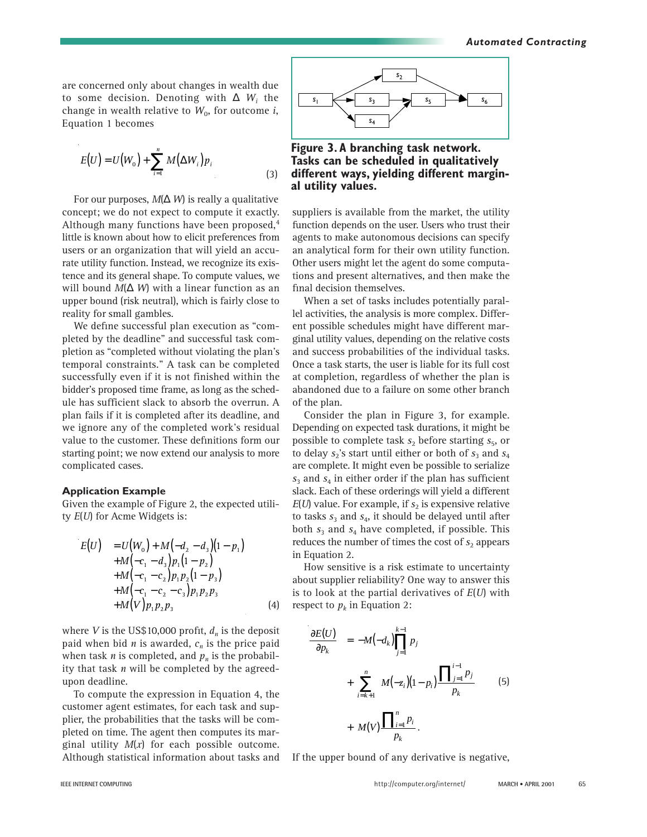are concerned only about changes in wealth due to some decision. Denoting with ∆ *Wi* the change in wealth relative to  $W_0$ , for outcome *i*, Equation 1 becomes

$$
E(U) = U(W_0) + \sum_{i=1}^{n} M(\Delta W_i) p_i
$$
\n(3)

For our purposes, *M*(∆ *W*) is really a qualitative concept; we do not expect to compute it exactly. Although many functions have been proposed,<sup>4</sup> little is known about how to elicit preferences from users or an organization that will yield an accurate utility function. Instead, we recognize its existence and its general shape. To compute values, we will bound *M*(∆ *W*) with a linear function as an upper bound (risk neutral), which is fairly close to reality for small gambles.

We define successful plan execution as "completed by the deadline" and successful task completion as "completed without violating the plan's temporal constraints." A task can be completed successfully even if it is not finished within the bidder's proposed time frame, as long as the schedule has sufficient slack to absorb the overrun. A plan fails if it is completed after its deadline, and we ignore any of the completed work's residual value to the customer. These definitions form our starting point; we now extend our analysis to more complicated cases.

### **Application Example**

Given the example of Figure 2, the expected utility *E*(*U*) for Acme Widgets is:

$$
E(U) = U(W_0) + M(-d_2 - d_3)(1 - p_1)
$$
  
+M(-c\_1 - d\_3)p\_1(1 - p\_2)  
+M(-c\_1 - c\_2)p\_1p\_2(1 - p\_3)  
+M(-c\_1 - c\_2 - c\_3)p\_1p\_2p\_3  
+M(V)p\_1p\_2p\_3 (4)

where *V* is the US\$10,000 profit,  $d_n$  is the deposit paid when bid *n* is awarded,  $c_n$  is the price paid when task  $n$  is completed, and  $p_n$  is the probability that task *n* will be completed by the agreedupon deadline.

To compute the expression in Equation 4, the customer agent estimates, for each task and supplier, the probabilities that the tasks will be completed on time. The agent then computes its marginal utility *M*(*x*) for each possible outcome. Although statistical information about tasks and



**Figure 3.A branching task network. Tasks can be scheduled in qualitatively different ways, yielding different marginal utility values.**

suppliers is available from the market, the utility function depends on the user. Users who trust their agents to make autonomous decisions can specify an analytical form for their own utility function. Other users might let the agent do some computations and present alternatives, and then make the final decision themselves.

When a set of tasks includes potentially parallel activities, the analysis is more complex. Different possible schedules might have different marginal utility values, depending on the relative costs and success probabilities of the individual tasks. Once a task starts, the user is liable for its full cost at completion, regardless of whether the plan is abandoned due to a failure on some other branch of the plan.

Consider the plan in Figure 3, for example. Depending on expected task durations, it might be possible to complete task  $s_2$  before starting  $s_5$ , or to delay  $s_2$ 's start until either or both of  $s_3$  and  $s_4$ are complete. It might even be possible to serialize  $s_3$  and  $s_4$  in either order if the plan has sufficient slack. Each of these orderings will yield a different  $E(U)$  value. For example, if  $s_2$  is expensive relative to tasks  $s_3$  and  $s_4$ , it should be delayed until after both  $s_3$  and  $s_4$  have completed, if possible. This reduces the number of times the cost of  $s_2$  appears in Equation 2.

How sensitive is a risk estimate to uncertainty about supplier reliability? One way to answer this is to look at the partial derivatives of *E*(*U*) with respect to  $p_k$  in Equation 2:

$$
\frac{\partial E(U)}{\partial p_k} = -M(-d_k) \prod_{j=1}^{k-1} p_j
$$
  
+ 
$$
\sum_{i=k+1}^n \left( M(-z_i)(1-p_i) \frac{\prod_{j=1}^{i-1} p_j}{p_k} \right)
$$
 (5)  
+ 
$$
M(V) \frac{\prod_{i=1}^n p_i}{p_k}.
$$

If the upper bound of any derivative is negative,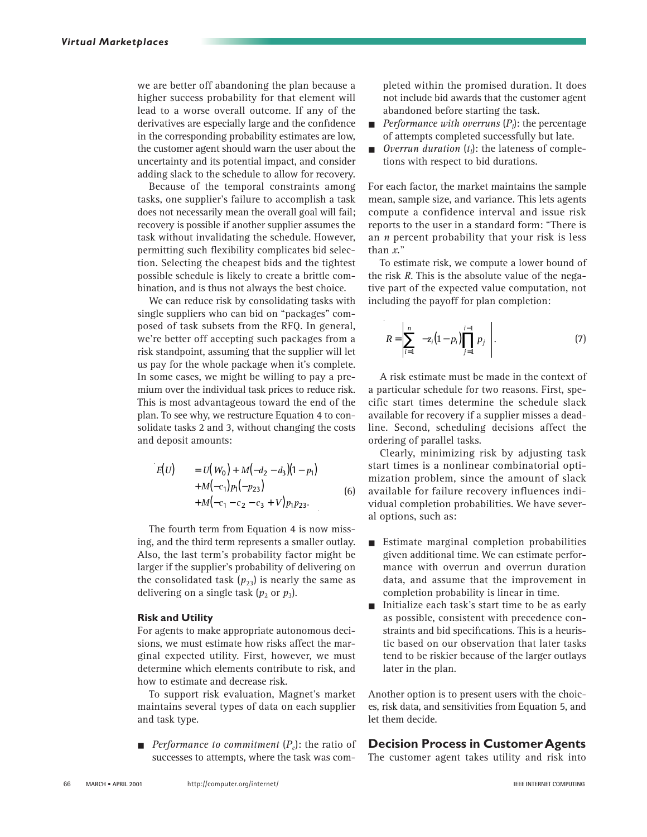we are better off abandoning the plan because a higher success probability for that element will lead to a worse overall outcome. If any of the derivatives are especially large and the confidence in the corresponding probability estimates are low, the customer agent should warn the user about the uncertainty and its potential impact, and consider adding slack to the schedule to allow for recovery.

Because of the temporal constraints among tasks, one supplier's failure to accomplish a task does not necessarily mean the overall goal will fail; recovery is possible if another supplier assumes the task without invalidating the schedule. However, permitting such flexibility complicates bid selection. Selecting the cheapest bids and the tightest possible schedule is likely to create a brittle combination, and is thus not always the best choice.

We can reduce risk by consolidating tasks with single suppliers who can bid on "packages" composed of task subsets from the RFQ. In general, we're better off accepting such packages from a risk standpoint, assuming that the supplier will let us pay for the whole package when it's complete. In some cases, we might be willing to pay a premium over the individual task prices to reduce risk. This is most advantageous toward the end of the plan. To see why, we restructure Equation 4 to consolidate tasks 2 and 3, without changing the costs and deposit amounts:

$$
E(U) = U(W_0) + M(-d_2 - d_3)(1 - p_1)
$$
  
+ M(-c<sub>1</sub>)p<sub>1</sub>(-p<sub>23</sub>)  
+ M(-c<sub>1</sub> - c<sub>2</sub> - c<sub>3</sub> + V)p<sub>1</sub>p<sub>23</sub>. (6)

The fourth term from Equation 4 is now missing, and the third term represents a smaller outlay. Also, the last term's probability factor might be larger if the supplier's probability of delivering on the consolidated task  $(p_{23})$  is nearly the same as delivering on a single task  $(p_2 \text{ or } p_3)$ .

### **Risk and Utility**

For agents to make appropriate autonomous decisions, we must estimate how risks affect the marginal expected utility. First, however, we must determine which elements contribute to risk, and how to estimate and decrease risk.

To support risk evaluation, Magnet's market maintains several types of data on each supplier and task type.

■ *Performance to commitment* (*P<sub>c</sub>*): the ratio of successes to attempts, where the task was com-

pleted within the promised duration. It does not include bid awards that the customer agent abandoned before starting the task.

- *Performance with overruns*  $(P<sub>l</sub>)$ : the percentage of attempts completed successfully but late.
- *Overrun duration* (*t<sub>l</sub>*): the lateness of completions with respect to bid durations.

For each factor, the market maintains the sample mean, sample size, and variance. This lets agents compute a confidence interval and issue risk reports to the user in a standard form: "There is an *n* percent probability that your risk is less than *x*."

To estimate risk, we compute a lower bound of the risk *R*. This is the absolute value of the negative part of the expected value computation, not including the payoff for plan completion:

$$
R = \left| \sum_{i=1}^{n} \left( -z_i \left( 1 - p_i \right) \prod_{j=1}^{i-1} p_j \right) \right|.
$$
 (7)

A risk estimate must be made in the context of a particular schedule for two reasons. First, specific start times determine the schedule slack available for recovery if a supplier misses a deadline. Second, scheduling decisions affect the ordering of parallel tasks.

Clearly, minimizing risk by adjusting task start times is a nonlinear combinatorial optimization problem, since the amount of slack available for failure recovery influences individual completion probabilities. We have several options, such as:

- Estimate marginal completion probabilities given additional time. We can estimate performance with overrun and overrun duration data, and assume that the improvement in completion probability is linear in time.
- Initialize each task's start time to be as early as possible, consistent with precedence constraints and bid specifications. This is a heuristic based on our observation that later tasks tend to be riskier because of the larger outlays later in the plan.

Another option is to present users with the choices, risk data, and sensitivities from Equation 5, and let them decide.

# **Decision Process in Customer Agents**

The customer agent takes utility and risk into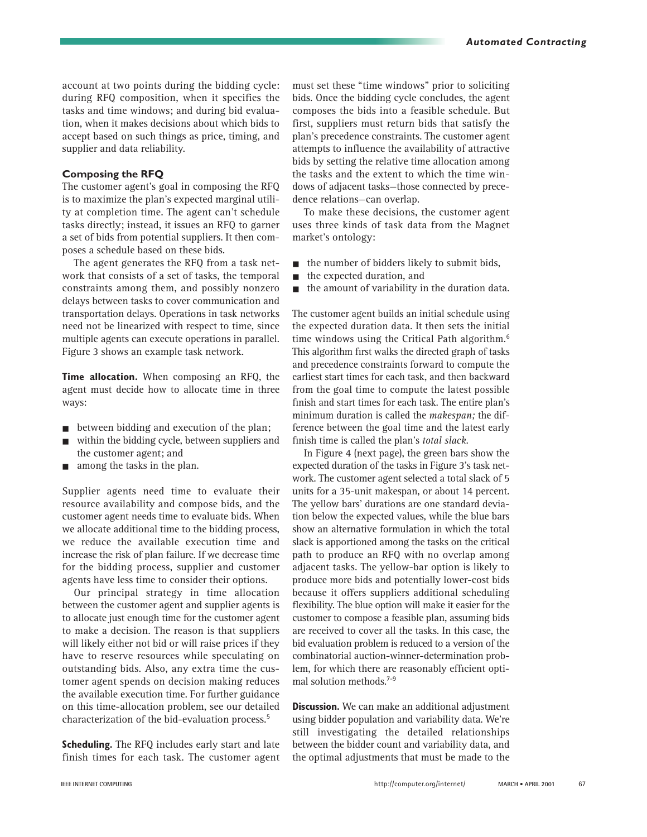account at two points during the bidding cycle: during RFQ composition, when it specifies the tasks and time windows; and during bid evaluation, when it makes decisions about which bids to accept based on such things as price, timing, and supplier and data reliability.

## **Composing the RFQ**

The customer agent's goal in composing the RFQ is to maximize the plan's expected marginal utility at completion time. The agent can't schedule tasks directly; instead, it issues an RFQ to garner a set of bids from potential suppliers. It then composes a schedule based on these bids.

The agent generates the RFQ from a task network that consists of a set of tasks, the temporal constraints among them, and possibly nonzero delays between tasks to cover communication and transportation delays. Operations in task networks need not be linearized with respect to time, since multiple agents can execute operations in parallel. Figure 3 shows an example task network.

**Time allocation.** When composing an RFQ, the agent must decide how to allocate time in three ways:

- between bidding and execution of the plan;
- within the bidding cycle, between suppliers and the customer agent; and
- among the tasks in the plan.

Supplier agents need time to evaluate their resource availability and compose bids, and the customer agent needs time to evaluate bids. When we allocate additional time to the bidding process, we reduce the available execution time and increase the risk of plan failure. If we decrease time for the bidding process, supplier and customer agents have less time to consider their options.

Our principal strategy in time allocation between the customer agent and supplier agents is to allocate just enough time for the customer agent to make a decision. The reason is that suppliers will likely either not bid or will raise prices if they have to reserve resources while speculating on outstanding bids. Also, any extra time the customer agent spends on decision making reduces the available execution time. For further guidance on this time-allocation problem, see our detailed characterization of the bid-evaluation process.5

**Scheduling.** The RFQ includes early start and late finish times for each task. The customer agent

must set these "time windows" prior to soliciting bids. Once the bidding cycle concludes, the agent composes the bids into a feasible schedule. But first, suppliers must return bids that satisfy the plan's precedence constraints. The customer agent attempts to influence the availability of attractive bids by setting the relative time allocation among the tasks and the extent to which the time windows of adjacent tasks—those connected by precedence relations—can overlap.

To make these decisions, the customer agent uses three kinds of task data from the Magnet market's ontology:

- the number of bidders likely to submit bids,
- the expected duration, and
- the amount of variability in the duration data.

The customer agent builds an initial schedule using the expected duration data. It then sets the initial time windows using the Critical Path algorithm.<sup>6</sup> This algorithm first walks the directed graph of tasks and precedence constraints forward to compute the earliest start times for each task, and then backward from the goal time to compute the latest possible finish and start times for each task. The entire plan's minimum duration is called the *makespan;* the difference between the goal time and the latest early finish time is called the plan's *total slack*.

In Figure 4 (next page), the green bars show the expected duration of the tasks in Figure 3's task network. The customer agent selected a total slack of 5 units for a 35-unit makespan, or about 14 percent. The yellow bars' durations are one standard deviation below the expected values, while the blue bars show an alternative formulation in which the total slack is apportioned among the tasks on the critical path to produce an RFQ with no overlap among adjacent tasks. The yellow-bar option is likely to produce more bids and potentially lower-cost bids because it offers suppliers additional scheduling flexibility. The blue option will make it easier for the customer to compose a feasible plan, assuming bids are received to cover all the tasks. In this case, the bid evaluation problem is reduced to a version of the combinatorial auction-winner-determination problem, for which there are reasonably efficient optimal solution methods.7-9

**Discussion.** We can make an additional adjustment using bidder population and variability data. We're still investigating the detailed relationships between the bidder count and variability data, and the optimal adjustments that must be made to the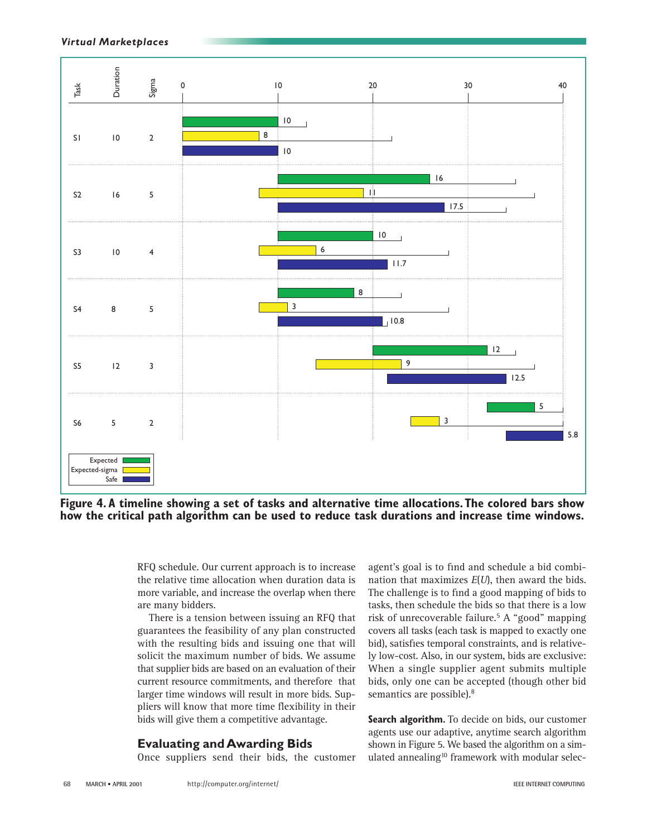

**Figure 4.A timeline showing a set of tasks and alternative time allocations.The colored bars show how the critical path algorithm can be used to reduce task durations and increase time windows.**

RFQ schedule. Our current approach is to increase the relative time allocation when duration data is more variable, and increase the overlap when there are many bidders.

There is a tension between issuing an RFQ that guarantees the feasibility of any plan constructed with the resulting bids and issuing one that will solicit the maximum number of bids. We assume that supplier bids are based on an evaluation of their current resource commitments, and therefore that larger time windows will result in more bids. Suppliers will know that more time flexibility in their bids will give them a competitive advantage.

# **Evaluating and Awarding Bids**

Once suppliers send their bids, the customer

agent's goal is to find and schedule a bid combination that maximizes *E*(*U*), then award the bids. The challenge is to find a good mapping of bids to tasks, then schedule the bids so that there is a low risk of unrecoverable failure.<sup>5</sup> A "good" mapping covers all tasks (each task is mapped to exactly one bid), satisfies temporal constraints, and is relatively low-cost. Also, in our system, bids are exclusive: When a single supplier agent submits multiple bids, only one can be accepted (though other bid semantics are possible).<sup>8</sup>

**Search algorithm.** To decide on bids, our customer agents use our adaptive, anytime search algorithm shown in Figure 5. We based the algorithm on a simulated annealing<sup>10</sup> framework with modular selec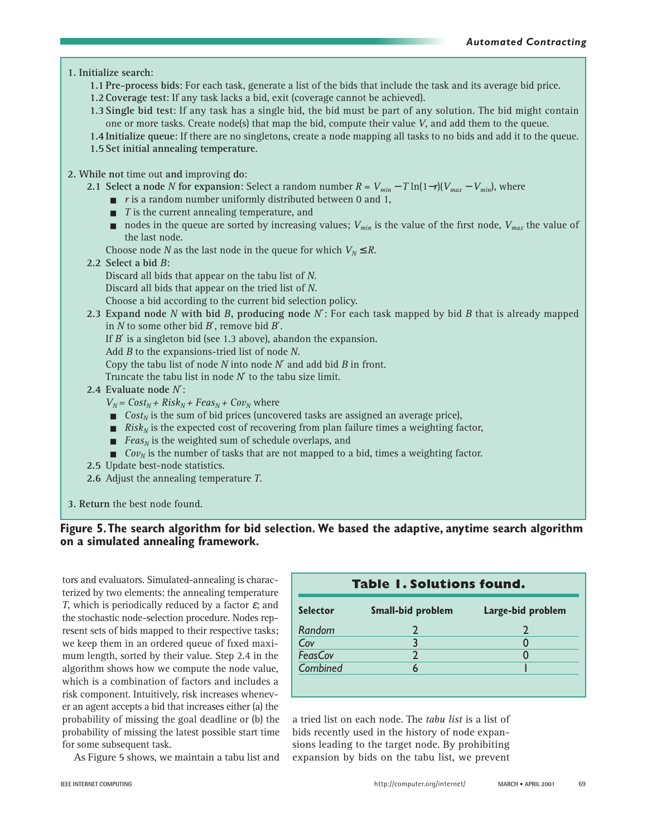**1. Initialize search**:

- **1.1 Pre-process bids**: For each task, generate a list of the bids that include the task and its average bid price.
- **1.2Coverage test**: If any task lacks a bid, exit (coverage cannot be achieved).
- **1.3Single bid test**: If any task has a single bid, the bid must be part of any solution. The bid might contain one or more tasks. Create node(s) that map the bid, compute their value *V*, and add them to the queue.
- **1.4Initialize queue**: If there are no singletons, create a node mapping all tasks to no bids and add it to the queue. **1.5Set initial annealing temperature**.
- **2. While not** time out **and** improving **do**:
	- **2.1 Select a node** *N* for expansion: Select a random number  $R = V_{min} T \ln(1-r)(V_{max} V_{min})$ , where
		- *r* is a random number uniformly distributed between 0 and 1,
		- *T* is the current annealing temperature, and
		- nodes in the queue are sorted by increasing values;  $V_{min}$  is the value of the first node,  $V_{max}$  the value of the last node.

Choose node *N* as the last node in the queue for which  $V_N \leq R$ .

**2.2 Select a bid** *B*:

Discard all bids that appear on the tabu list of *N*.

Discard all bids that appear on the tried list of *N*.

Choose a bid according to the current bid selection policy.

**2.3 Expand node** *N* **with bid** *B***, producing node** *N*′: For each task mapped by bid *B* that is already mapped in *N* to some other bid *B*′, remove bid *B*′.

If *B'* is a singleton bid (see 1.3 above), abandon the expansion.

Add *B* to the expansions-tried list of node *N*.

Copy the tabu list of node *N* into node *N*′ and add bid *B* in front.

Truncate the tabu list in node *N*′ to the tabu size limit.

**2.4 Evaluate node** *N*′:

 $V_N = Cost_N + Risk_N + Feas_N + Cov_N$  where

- $\Box$  *Cost<sub>N</sub>* is the sum of bid prices (uncovered tasks are assigned an average price),
- $\blacksquare$  *Risk<sub>N</sub>* is the expected cost of recovering from plan failure times a weighting factor,
- $\blacksquare$  *Feas<sub>N</sub>* is the weighted sum of schedule overlaps, and
- $\Box$  *Cov<sub>N</sub>* is the number of tasks that are not mapped to a bid, times a weighting factor.
- **2.5** Update best-node statistics.

**2.6** Adjust the annealing temperature *T*.

**3. Return** the best node found.

# **Figure 5.The search algorithm for bid selection. We based the adaptive, anytime search algorithm on a simulated annealing framework.**

tors and evaluators. Simulated-annealing is characterized by two elements: the annealing temperature *T*, which is periodically reduced by a factor  $\varepsilon$ ; and the stochastic node-selection procedure. Nodes represent sets of bids mapped to their respective tasks; we keep them in an ordered queue of fixed maximum length, sorted by their value. Step 2.4 in the algorithm shows how we compute the node value, which is a combination of factors and includes a risk component. Intuitively, risk increases whenever an agent accepts a bid that increases either (a) the probability of missing the goal deadline or (b) the probability of missing the latest possible start time for some subsequent task.

As Figure 5 shows, we maintain a tabu list and

| <b>Table 1. Solutions found.</b> |                          |                   |
|----------------------------------|--------------------------|-------------------|
| <b>Selector</b>                  | <b>Small-bid problem</b> | Large-bid problem |
| Random                           |                          | 2                 |
| Cov                              |                          |                   |
| <b>FeasCov</b>                   |                          |                   |
| Combined                         |                          |                   |

a tried list on each node. The *tabu list* is a list of bids recently used in the history of node expansions leading to the target node. By prohibiting expansion by bids on the tabu list, we prevent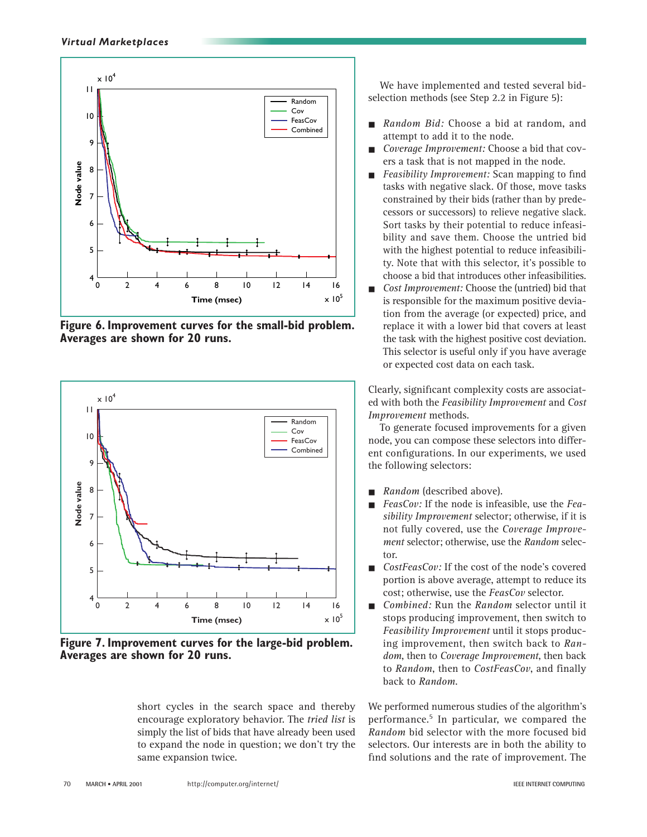

**Figure 6. Improvement curves for the small-bid problem. Averages are shown for 20 runs.**



**Figure 7. Improvement curves for the large-bid problem. Averages are shown for 20 runs.**

short cycles in the search space and thereby encourage exploratory behavior. The *tried list* is simply the list of bids that have already been used to expand the node in question; we don't try the same expansion twice.

We have implemented and tested several bidselection methods (see Step 2.2 in Figure 5):

- *Random Bid:* Choose a bid at random, and attempt to add it to the node.
- *Coverage Improvement:* Choose a bid that covers a task that is not mapped in the node.
- *Feasibility Improvement:* Scan mapping to find tasks with negative slack. Of those, move tasks constrained by their bids (rather than by predecessors or successors) to relieve negative slack. Sort tasks by their potential to reduce infeasibility and save them. Choose the untried bid with the highest potential to reduce infeasibility. Note that with this selector, it's possible to choose a bid that introduces other infeasibilities.
- *Cost Improvement:* Choose the (untried) bid that is responsible for the maximum positive deviation from the average (or expected) price, and replace it with a lower bid that covers at least the task with the highest positive cost deviation. This selector is useful only if you have average or expected cost data on each task.

Clearly, significant complexity costs are associated with both the *Feasibility Improvement* and *Cost Improvement* methods.

To generate focused improvements for a given node, you can compose these selectors into different configurations. In our experiments, we used the following selectors:

- *Random* (described above).
- *FeasCov:* If the node is infeasible, use the *Fea sibility Improvement* selector; otherwise, if it is not fully covered, use the *Coverage Improvement* selector; otherwise, use the *Random* selector.
- *CostFeasCov:* If the cost of the node's covered portion is above average, attempt to reduce its cost; otherwise, use the *FeasCov* selector.
- Combined: Run the *Random* selector until it stops producing improvement, then switch to *Feasibility Improvement* until it stops producing improvement, then switch back to *Random*, then to *Coverage Improvement*, then back to *Random*, then to *CostFeasCov*, and finally back to *Random*.

We performed numerous studies of the algorithm's performance.5 In particular, we compared the *Random* bid selector with the more focused bid selectors. Our interests are in both the ability to find solutions and the rate of improvement. The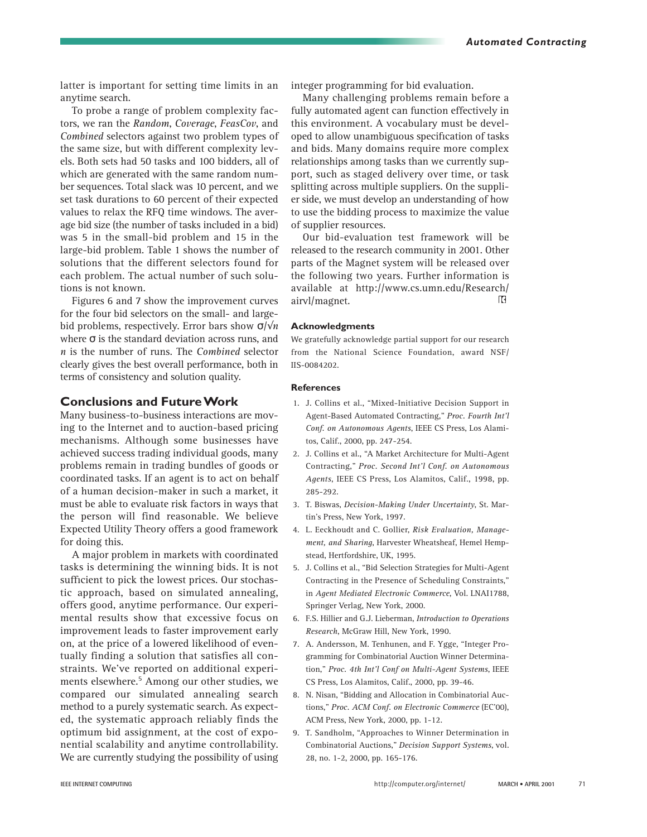latter is important for setting time limits in an anytime search.

To probe a range of problem complexity factors, we ran the *Random*, *Coverage*, *FeasCov*, and *Combined* selectors against two problem types of the same size, but with different complexity levels. Both sets had 50 tasks and 100 bidders, all of which are generated with the same random number sequences. Total slack was 10 percent, and we set task durations to 60 percent of their expected values to relax the RFQ time windows. The average bid size (the number of tasks included in a bid) was 5 in the small-bid problem and 15 in the large-bid problem. Table 1 shows the number of solutions that the different selectors found for each problem. The actual number of such solutions is not known.

Figures 6 and 7 show the improvement curves for the four bid selectors on the small- and largebid problems, respectively. Error bars show σ/√*n* where  $\sigma$  is the standard deviation across runs, and *n* is the number of runs. The *Combined* selector clearly gives the best overall performance, both in terms of consistency and solution quality.

# **Conclusions and Future Work**

Many business-to-business interactions are moving to the Internet and to auction-based pricing mechanisms. Although some businesses have achieved success trading individual goods, many problems remain in trading bundles of goods or coordinated tasks. If an agent is to act on behalf of a human decision-maker in such a market, it must be able to evaluate risk factors in ways that the person will find reasonable. We believe Expected Utility Theory offers a good framework for doing this.

A major problem in markets with coordinated tasks is determining the winning bids. It is not sufficient to pick the lowest prices. Our stochastic approach, based on simulated annealing, offers good, anytime performance. Our experimental results show that excessive focus on improvement leads to faster improvement early on, at the price of a lowered likelihood of eventually finding a solution that satisfies all constraints. We've reported on additional experiments elsewhere.<sup>5</sup> Among our other studies, we compared our simulated annealing search method to a purely systematic search. As expected, the systematic approach reliably finds the optimum bid assignment, at the cost of exponential scalability and anytime controllability. We are currently studying the possibility of using integer programming for bid evaluation.

Many challenging problems remain before a fully automated agent can function effectively in this environment. A vocabulary must be developed to allow unambiguous specification of tasks and bids. Many domains require more complex relationships among tasks than we currently support, such as staged delivery over time, or task splitting across multiple suppliers. On the supplier side, we must develop an understanding of how to use the bidding process to maximize the value of supplier resources.

Our bid-evaluation test framework will be released to the research community in 2001. Other parts of the Magnet system will be released over the following two years. Further information is available at http://www.cs.umn.edu/Research/ airvl/magnet.  $\mathbb{E}$ 

### **Acknowledgments**

We gratefully acknowledge partial support for our research from the National Science Foundation, award NSF/ IIS-0084202.

### **References**

- 1. J. Collins et al., "Mixed-Initiative Decision Support in Agent-Based Automated Contracting," *Proc. Fourth Int'l Conf. on Autonomous Agents*, IEEE CS Press, Los Alamitos, Calif., 2000, pp. 247-254.
- 2. J. Collins et al., "A Market Architecture for Multi-Agent Contracting," *Proc. Second Int'l Conf. on Autonomous Agents*, IEEE CS Press, Los Alamitos, Calif., 1998, pp. 285-292.
- 3. T. Biswas, *Decision-Making Under Uncertainty*, St. Martin's Press, New York, 1997.
- 4. L. Eeckhoudt and C. Gollier, *Risk Evaluation, Management, and Sharing*, Harvester Wheatsheaf, Hemel Hempstead, Hertfordshire, UK, 1995.
- 5. J. Collins et al., "Bid Selection Strategies for Multi-Agent Contracting in the Presence of Scheduling Constraints," in *Agent Mediated Electronic Commerce*, Vol. LNAI1788, Springer Verlag, New York, 2000.
- 6. F.S. Hillier and G.J. Lieberman, *Introduction to Operations Research*, McGraw Hill, New York, 1990.
- 7. A. Andersson, M. Tenhunen, and F. Ygge, "Integer Programming for Combinatorial Auction Winner Determination," *Proc. 4th Int'l Conf on Multi-Agent Systems*, IEEE CS Press, Los Alamitos, Calif., 2000, pp. 39-46.
- 8. N. Nisan, "Bidding and Allocation in Combinatorial Auctions," *Proc. ACM Conf. on Electronic Commerce* (EC'00), ACM Press, New York, 2000, pp. 1-12.
- 9. T. Sandholm, "Approaches to Winner Determination in Combinatorial Auctions," *Decision Support Systems*, vol. 28, no. 1-2, 2000, pp. 165-176.